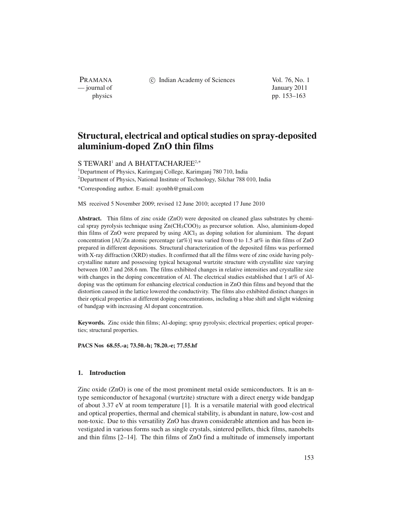(c) Indian Academy of Sciences Vol. 76, No. 1

PRAMANA<br>
— journal of

January 2011 physics pp. 153–163

# **Structural, electrical and optical studies on spray-deposited aluminium-doped ZnO thin films**

S TEWARI<sup>1</sup> and A BHATTACHARJEE<sup>2,\*</sup>

<sup>1</sup>Department of Physics, Karimganj College, Karimganj 780 710, India <sup>2</sup>Department of Physics, National Institute of Technology, Silchar 788 010, India \*Corresponding author. E-mail: ayonbh@gmail.com

MS received 5 November 2009; revised 12 June 2010; accepted 17 June 2010

**Abstract.** Thin films of zinc oxide (ZnO) were deposited on cleaned glass substrates by chemical spray pyrolysis technique using  $Zn(CH_3COO)_2$  as precursor solution. Also, aluminium-doped thin films of ZnO were prepared by using AlCl<sup>3</sup> as doping solution for aluminium. The dopant concentration [Al/Zn atomic percentage (at%)] was varied from 0 to 1.5 at% in thin films of ZnO prepared in different depositions. Structural characterization of the deposited films was performed with X-ray diffraction (XRD) studies. It confirmed that all the films were of zinc oxide having polycrystalline nature and possessing typical hexagonal wurtzite structure with crystallite size varying between 100.7 and 268.6 nm. The films exhibited changes in relative intensities and crystallite size with changes in the doping concentration of Al. The electrical studies established that 1 at% of Aldoping was the optimum for enhancing electrical conduction in ZnO thin films and beyond that the distortion caused in the lattice lowered the conductivity. The films also exhibited distinct changes in their optical properties at different doping concentrations, including a blue shift and slight widening of bandgap with increasing Al dopant concentration.

**Keywords.** Zinc oxide thin films; Al-doping; spray pyrolysis; electrical properties; optical properties; structural properties.

**PACS Nos 68.55.-a; 73.50.-h; 78.20.-e; 77.55.hf**

# **1. Introduction**

Zinc oxide (ZnO) is one of the most prominent metal oxide semiconductors. It is an ntype semiconductor of hexagonal (wurtzite) structure with a direct energy wide bandgap of about 3.37 eV at room temperature [1]. It is a versatile material with good electrical and optical properties, thermal and chemical stability, is abundant in nature, low-cost and non-toxic. Due to this versatility ZnO has drawn considerable attention and has been investigated in various forms such as single crystals, sintered pellets, thick films, nanobelts and thin films  $[2-14]$ . The thin films of ZnO find a multitude of immensely important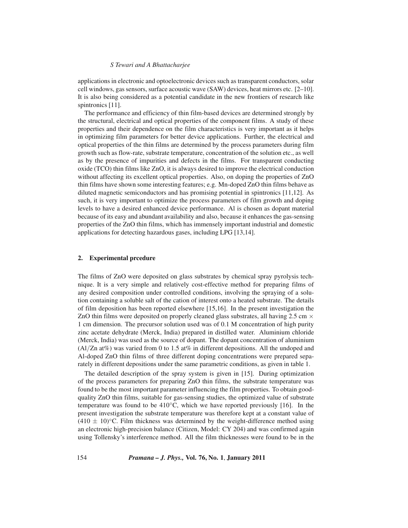## *S Tewari and A Bhattacharjee*

applications in electronic and optoelectronic devices such as transparent conductors, solar cell windows, gas sensors, surface acoustic wave (SAW) devices, heat mirrors etc. [2–10]. It is also being considered as a potential candidate in the new frontiers of research like spintronics [11].

The performance and efficiency of thin film-based devices are determined strongly by the structural, electrical and optical properties of the component films. A study of these properties and their dependence on the film characteristics is very important as it helps in optimizing film parameters for better device applications. Further, the electrical and optical properties of the thin films are determined by the process parameters during film growth such as flow-rate, substrate temperature, concentration of the solution etc., as well as by the presence of impurities and defects in the films. For transparent conducting oxide (TCO) thin films like ZnO, it is always desired to improve the electrical conduction without affecting its excellent optical properties. Also, on doping the properties of ZnO thin films have shown some interesting features; e.g. Mn-doped ZnO thin films behave as diluted magnetic semiconductors and has promising potential in spintronics [11,12]. As such, it is very important to optimize the process parameters of film growth and doping levels to have a desired enhanced device performance. Al is chosen as dopant material because of its easy and abundant availability and also, because it enhances the gas-sensing properties of the ZnO thin films, which has immensely important industrial and domestic applications for detecting hazardous gases, including LPG [13,14].

#### **2. Experimental prcedure**

The films of ZnO were deposited on glass substrates by chemical spray pyrolysis technique. It is a very simple and relatively cost-effective method for preparing films of any desired composition under controlled conditions, involving the spraying of a solution containing a soluble salt of the cation of interest onto a heated substrate. The details of film deposition has been reported elsewhere [15,16]. In the present investigation the ZnO thin films were deposited on properly cleaned glass substrates, all having 2.5 cm  $\times$ 1 cm dimension. The precursor solution used was of 0.1 M concentration of high purity zinc acetate dehydrate (Merck, India) prepared in distilled water. Aluminium chloride (Merck, India) was used as the source of dopant. The dopant concentration of aluminium (Al/Zn at%) was varied from 0 to 1.5 at% in different depositions. All the undoped and Al-doped ZnO thin films of three different doping concentrations were prepared separately in different depositions under the same parametric conditions, as given in table 1.

The detailed description of the spray system is given in [15]. During optimization of the process parameters for preparing ZnO thin films, the substrate temperature was found to be the most important parameter influencing the film properties. To obtain goodquality ZnO thin films, suitable for gas-sensing studies, the optimized value of substrate temperature was found to be  $410°C$ , which we have reported previously [16]. In the present investigation the substrate temperature was therefore kept at a constant value of  $(410 \pm 10)$ °C. Film thickness was determined by the weight-difference method using an electronic high-precision balance (Citizen, Model: CY 204) and was confirmed again using Tollensky's interference method. All the film thicknesses were found to be in the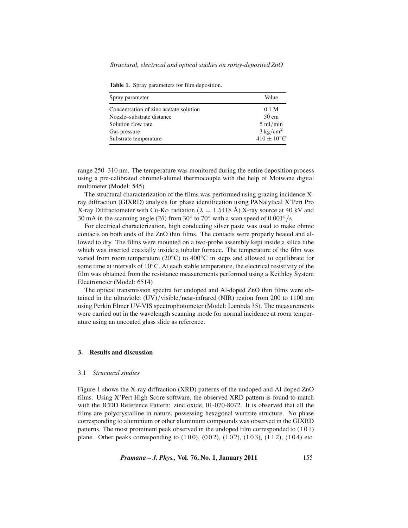| Table 1. Spray parameters for film deposition. |  |  |  |
|------------------------------------------------|--|--|--|
|------------------------------------------------|--|--|--|

| Spray parameter                        | Value                  |
|----------------------------------------|------------------------|
| Concentration of zinc acetate solution | 0.1 <sub>M</sub>       |
| Nozzle–substrate distance              | $50 \text{ cm}$        |
| Solution flow rate                     | $5 \text{ ml/min}$     |
| Gas pressure                           | $3 \text{ kg/cm}^2$    |
| Substrate temperature                  | $410 \pm 10^{\circ}$ C |

range 250–310 nm. The temperature was monitored during the entire deposition process using a pre-calibrated chromel-alumel thermocouple with the help of Motwane digital multimeter (Model: 545)

The structural characterization of the films was performed using grazing incidence Xray diffraction (GIXRD) analysis for phase identification using PANalytical X'Pert Pro X-ray Diffractometer with Cu-K $\alpha$  radiation ( $\lambda = 1.5418$  Å) X-ray source at 40 kV and 30 mA in the scanning angle (2 $\theta$ ) from 30 $\degree$  to 70 $\degree$  with a scan speed of 0.001 $\degree$ /s.

For electrical characterization, high conducting silver paste was used to make ohmic contacts on both ends of the ZnO thin films. The contacts were properly heated and allowed to dry. The films were mounted on a two-probe assembly kept inside a silica tube which was inserted coaxially inside a tubular furnace. The temperature of the film was varied from room temperature ( $20\degree$ C) to 400 $\degree$ C in steps and allowed to equilibrate for some time at intervals of  $10\degree$ C. At each stable temperature, the electrical resistivity of the film was obtained from the resistance measurements performed using a Keithley System Electrometer (Model: 6514)

The optical transmission spectra for undoped and Al-doped ZnO thin films were obtained in the ultraviolet (UV)/visible/near-infrared (NIR) region from 200 to 1100 nm using Perkin Elmer UV-VIS spectrophotometer (Model: Lambda 35). The measurements were carried out in the wavelength scanning mode for normal incidence at room temperature using an uncoated glass slide as reference.

## **3. Results and discussion**

#### 3.1 *Structural studies*

Figure 1 shows the X-ray diffraction (XRD) patterns of the undoped and Al-doped ZnO films. Using X'Pert High Score software, the observed XRD pattern is found to match with the ICDD Reference Pattern: zinc oxide, 01-070-8072. It is observed that all the films are polycrystalline in nature, possessing hexagonal wurtzite structure. No phase corresponding to aluminium or other aluminium compounds was observed in the GIXRD patterns. The most prominent peak observed in the undoped film corresponded to (1 0 1) plane. Other peaks corresponding to  $(100)$ ,  $(002)$ ,  $(102)$ ,  $(103)$ ,  $(112)$ ,  $(104)$  etc.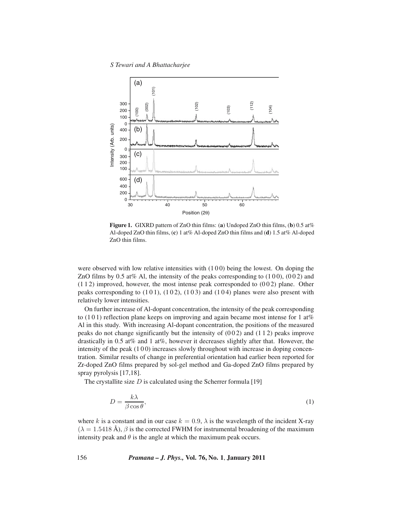#### *S Tewari and A Bhattacharjee*



**Figure 1.** GIXRD pattern of ZnO thin films: (**a**) Undoped ZnO thin films, (**b**) 0.5 at% Al-doped ZnO thin films, (**c**) 1 at% Al-doped ZnO thin films and (**d**) 1.5 at% Al-doped ZnO thin films.

were observed with low relative intensities with  $(100)$  being the lowest. On doping the ZnO films by 0.5 at% Al, the intensity of the peaks corresponding to  $(100)$ ,  $(002)$  and  $(112)$  improved, however, the most intense peak corresponded to  $(002)$  plane. Other peaks corresponding to  $(101)$ ,  $(102)$ ,  $(103)$  and  $(104)$  planes were also present with relatively lower intensities.

On further increase of Al-dopant concentration, the intensity of the peak corresponding to  $(1\ 0\ 1)$  reflection plane keeps on improving and again became most intense for 1 at% Al in this study. With increasing Al-dopant concentration, the positions of the measured peaks do not change significantly but the intensity of  $(002)$  and  $(112)$  peaks improve drastically in 0.5 at% and 1 at%, however it decreases slightly after that. However, the intensity of the peak (100) increases slowly throughout with increase in doping concentration. Similar results of change in preferential orientation had earlier been reported for Zr-doped ZnO films prepared by sol-gel method and Ga-doped ZnO films prepared by spray pyrolysis [17,18].

The crystallite size  $D$  is calculated using the Scherrer formula [19]

$$
D = \frac{k\lambda}{\beta \cos \theta},\tag{1}
$$

where k is a constant and in our case  $k = 0.9$ ,  $\lambda$  is the wavelength of the incident X-ray  $(\lambda = 1.5418 \text{ Å})$ ,  $\beta$  is the corrected FWHM for instrumental broadening of the maximum intensity peak and  $\theta$  is the angle at which the maximum peak occurs.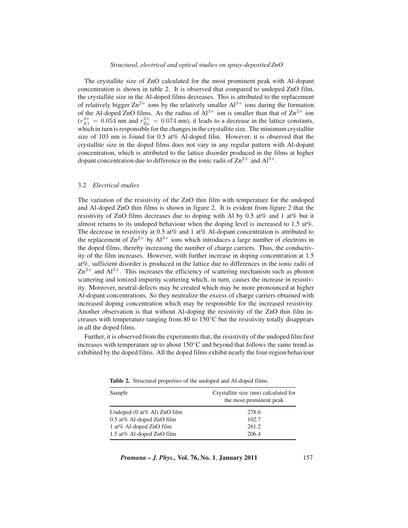### *Structural, electrical and optical studies on spray-deposited ZnO*

The crystallite size of ZnO calculated for the most prominent peak with Al-dopant concentration is shown in table 2. It is observed that compared to undoped ZnO film, the crystallite size in the Al-doped films decreases. This is attributed to the replacement of relatively bigger  $\text{Zn}^{2+}$  ions by the relatively smaller  $\text{Al}^{3+}$  ions during the formation of the Al-doped ZnO films. As the radius of  $Al^{3+}$  ion is smaller than that of  $Zn^{2+}$  ion  $(r_{\rm A1}^{3+} = 0.054$  nm and  $r_{\rm Zn}^{2+} = 0.074$  nm), it leads to a decrease in the lattice constants,<br>which in turn is responsible for the changes in the crystallite size. The minimum crystallite which in turn is responsible for the changes in the crystallite size. The minimum crystallite size of 103 nm is found for 0.5 at% Al-doped film. However, it is observed that the crystallite size in the doped films does not vary in any regular pattern with Al-dopant concentration, which is attributed to the lattice disorder produced in the films at higher dopant concentration due to difference in the ionic radii of  $\text{Zn}^{2+}$  and  $\text{Al}^{3+}$ .

## 3.2 *Electrical studies*

The variation of the resistivity of the ZnO thin film with temperature for the undoped and Al-doped ZnO thin films is shown in figure 2. It is evident from figure 2 that the resistivity of ZnO films decreases due to doping with Al by 0.5 at% and 1 at% but it almost returns to its undoped behaviour when the doping level is increased to 1.5 at%. The decrease in resistivity at 0.5 at% and 1 at% Al-dopant concentration is attributed to the replacement of  $\text{Zn}^{2+}$  by  $\text{Al}^{3+}$  ions which introduces a large number of electrons in the doped films, thereby increasing the number of charge carriers. Thus, the conductivity of the film increases. However, with further increase in doping concentration at 1.5 at%, sufficient disorder is produced in the lattice due to differences in the ionic radii of  $Zn^{2+}$  and  $Al^{3+}$ . This increases the efficiency of scattering mechanism such as phonon scattering and ionized impurity scattering which, in turn, causes the increase in resistivity. Moreover, neutral defects may be created which may be more pronounced at higher Al-dopant concentrations. So they neutralize the excess of charge carriers obtained with increased doping concentration which may be responsible for the increased resistivity. Another observation is that without Al-doping the resistivity of the ZnO thin film increases with temperature ranging from 80 to  $150°C$  but the resistivity totally disappears in all the doped films.

Further, it is observed from the experiments that, the resistivity of the undoped film first increases with temperature up to about  $150\degree$ C and beyond that follows the same trend as exhibited by the doped films. All the doped films exhibit nearly the four-region behaviour

| Sample                                          | Crystallite size (nm) calculated for<br>the most prominent peak |
|-------------------------------------------------|-----------------------------------------------------------------|
| Undoped $(0 \text{ at} \% \text{ Al})$ ZnO film | 278.6                                                           |
| $0.5$ at% Al-doped ZnO film                     | 102.7                                                           |
| 1 at% Al-doped $ZnO$ film                       | 261.2                                                           |
| 1.5 at% Al-doped ZnO film                       | 206.4                                                           |

**Table 2.** Structural properties of the undoped and Al-doped films.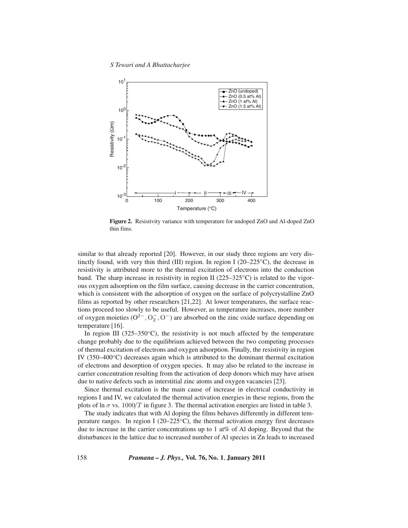*S Tewari and A Bhattacharjee*



**Figure 2.** Resistivity variance with temperature for undoped ZnO and Al-doped ZnO thin fims.

similar to that already reported [20]. However, in our study three regions are very distinctly found, with very thin third (III) region. In region I (20–225<sup>°</sup>C), the decrease in resistivity is attributed more to the thermal excitation of electrons into the conduction band. The sharp increase in resistivity in region II ( $225-325$ °C) is related to the vigorous oxygen adsorption on the film surface, causing decrease in the carrier concentration, which is consistent with the adsorption of oxygen on the surface of polycrystalline ZnO films as reported by other researchers [21,22]. At lower temperatures, the surface reactions proceed too slowly to be useful. However, as temperature increases, more number of oxygen moieties  $(O^2, O^-_2, O^-)$  are absorbed on the zinc oxide surface depending on temperature [16] temperature [16].

In region III ( $325-350\textdegree$ C), the resistivity is not much affected by the temperature change probably due to the equilibrium achieved between the two competing processes of thermal excitation of electrons and oxygen adsorption. Finally, the resistivity in region IV (350–400◦C) decreases again which is attributed to the dominant thermal excitation of electrons and desorption of oxygen species. It may also be related to the increase in carrier concentration resulting from the activation of deep donors which may have arisen due to native defects such as interstitial zinc atoms and oxygen vacancies [23].

Since thermal excitation is the main cause of increase in electrical conductivity in regions I and IV, we calculated the thermal activation energies in these regions, from the plots of ln  $\sigma$  vs. 1000/T in figure 3. The thermal activation energies are listed in table 3.

The study indicates that with Al doping the films behaves differently in different temperature ranges. In region I ( $20-225\degree C$ ), the thermal activation energy first decreases due to increase in the carrier concentrations up to 1 at% of Al doping. Beyond that the disturbances in the lattice due to increased number of Al species in Zn leads to increased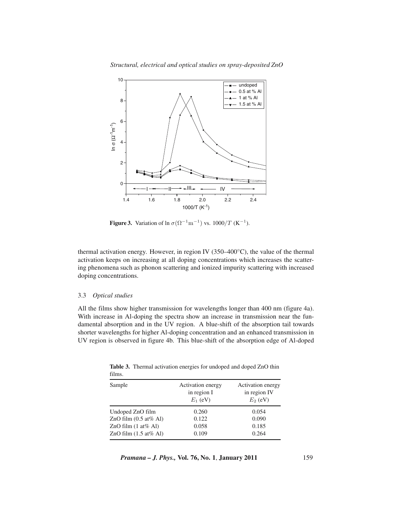*Structural, electrical and optical studies on spray-deposited ZnO*



**Figure 3.** Variation of  $\ln \sigma (\Omega^{-1} m^{-1})$  vs.  $1000/T$  (K<sup>-1</sup>).

thermal activation energy. However, in region IV ( $350-400\degree$ C), the value of the thermal activation keeps on increasing at all doping concentrations which increases the scattering phenomena such as phonon scattering and ionized impurity scattering with increased doping concentrations.

## 3.3 *Optical studies*

All the films show higher transmission for wavelengths longer than 400 nm (figure 4a). With increase in Al-doping the spectra show an increase in transmission near the fundamental absorption and in the UV region. A blue-shift of the absorption tail towards shorter wavelengths for higher Al-doping concentration and an enhanced transmission in UV region is observed in figure 4b. This blue-shift of the absorption edge of Al-doped

| films.                                    |                                                |                                                 |
|-------------------------------------------|------------------------------------------------|-------------------------------------------------|
| Sample                                    | Activation energy<br>in region I<br>$E_1$ (eV) | Activation energy<br>in region IV<br>$E_2$ (eV) |
| Undoped ZnO film                          | 0.260                                          | 0.054                                           |
| ZnO film $(0.5 \text{ at} \% \text{ Al})$ | 0.122                                          | 0.090                                           |
| ZnO film $(1 \text{ at} \% \text{ Al})$   | 0.058                                          | 0.185                                           |
| ZnO film $(1.5 \text{ at} \% \text{ Al})$ | 0.109                                          | 0.264                                           |

**Table 3.** Thermal activation energies for undoped and doped ZnO thin films.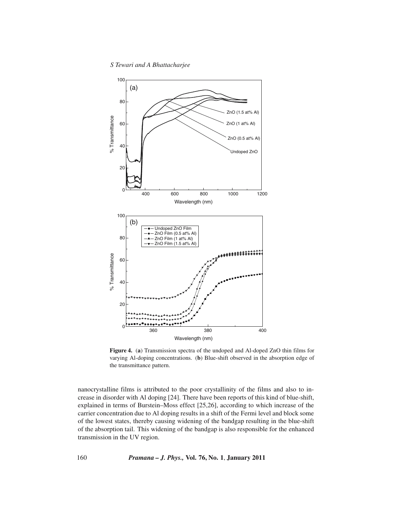*S Tewari and A Bhattacharjee*



**Figure 4.** (**a**) Transmission spectra of the undoped and Al-doped ZnO thin films for varying Al-doping concentrations. (**b**) Blue-shift observed in the absorption edge of the transmittance pattern.

nanocrystalline films is attributed to the poor crystallinity of the films and also to increase in disorder with Al doping [24]. There have been reports of this kind of blue-shift, explained in terms of Burstein–Moss effect [25,26], according to which increase of the carrier concentration due to Al doping results in a shift of the Fermi level and block some of the lowest states, thereby causing widening of the bandgap resulting in the blue-shift of the absorption tail. This widening of the bandgap is also responsible for the enhanced transmission in the UV region.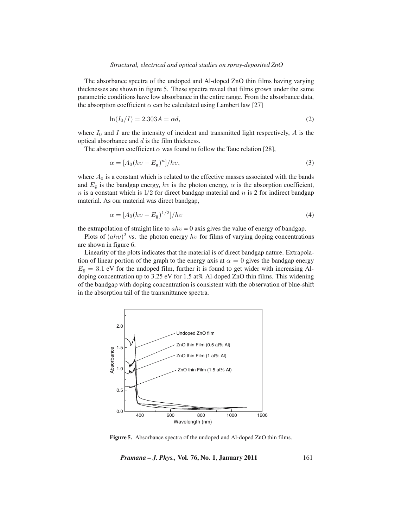### *Structural, electrical and optical studies on spray-deposited ZnO*

The absorbance spectra of the undoped and Al-doped ZnO thin films having varying thicknesses are shown in figure 5. These spectra reveal that films grown under the same parametric conditions have low absorbance in the entire range. From the absorbance data, the absorption coefficient  $\alpha$  can be calculated using Lambert law [27]

$$
\ln(I_0/I) = 2.303A = \alpha d,\tag{2}
$$

where  $I_0$  and I are the intensity of incident and transmitted light respectively, A is the optical absorbance and d is the film thickness.

The absorption coefficient  $\alpha$  was found to follow the Tauc relation [28],

$$
\alpha = [A_0(hv - E_{\rm g})^n]/hv,\tag{3}
$$

where  $A_0$  is a constant which is related to the effective masses associated with the bands and  $E<sub>g</sub>$  is the bandgap energy, hv is the photon energy,  $\alpha$  is the absorption coefficient,  $n$  is a constant which is  $1/2$  for direct bandgap material and  $n$  is 2 for indirect bandgap material. As our material was direct bandgap,

$$
\alpha = [A_0(hv - E_{\rm g})^{1/2}]/hv \tag{4}
$$

the extrapolation of straight line to  $ahv = 0$  axis gives the value of energy of bandgap.

Plots of  $(ahv)^2$  vs. the photon energy hv for films of varying doping concentrations are shown in figure 6.

Linearity of the plots indicates that the material is of direct bandgap nature. Extrapolation of linear portion of the graph to the energy axis at  $\alpha = 0$  gives the bandgap energy  $E<sub>g</sub> = 3.1$  eV for the undoped film, further it is found to get wider with increasing Al-<br>doning concentration up to 2.25 eV for 1.5 et (*d*, Al-doped ZnO thin films. This widening doping concentration up to 3.25 eV for 1.5 at% Al-doped ZnO thin films. This widening of the bandgap with doping concentration is consistent with the observation of blue-shift in the absorption tail of the transmittance spectra.



**Figure 5.** Absorbance spectra of the undoped and Al-doped ZnO thin films.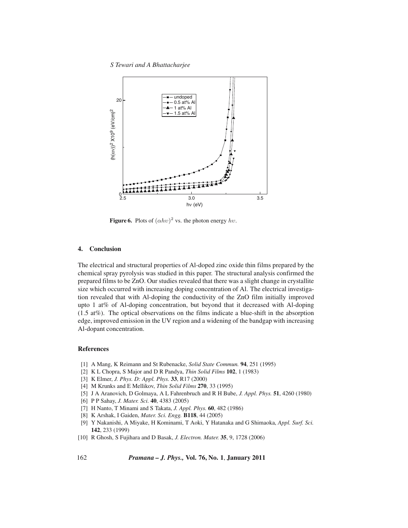*S Tewari and A Bhattacharjee*



**Figure 6.** Plots of  $(\alpha h v)^2$  vs. the photon energy hv.

# **4. Conclusion**

The electrical and structural properties of Al-doped zinc oxide thin films prepared by the chemical spray pyrolysis was studied in this paper. The structural analysis confirmed the prepared films to be ZnO. Our studies revealed that there was a slight change in crystallite size which occurred with increasing doping concentration of Al. The electrical investigation revealed that with Al-doping the conductivity of the ZnO film initially improved upto 1 at% of Al-doping concentration, but beyond that it decreased with Al-doping (1.5 at%). The optical observations on the films indicate a blue-shift in the absorption edge, improved emission in the UV region and a widening of the bandgap with increasing Al-dopant concentration.

# **References**

- [1] A Mang, K Reimann and St Rubenacke, *Solid State Commun.* **94**, 251 (1995)
- [2] K L Chopra, S Major and D R Pandya, *Thin Solid Films* **102**, 1 (1983)
- [3] K Elmer, *J. Phys. D: Appl. Phys.* **33**, R17 (2000)
- [4] M Krunks and E Mellikov, *Thin Solid Films* **270**, 33 (1995)
- [5] J A Aranovich, D Golmaya, A L Fahrenbruch and R H Bube, *J. Appl. Phys.* **51**, 4260 (1980)
- [6] P P Sahay, *J. Mater. Sci.* **40**, 4383 (2005)
- [7] H Nanto, T Minami and S Takata, *J. Appl. Phys.* **60**, 482 (1986)
- [8] K Arshak, I Gaiden, *Mater. Sci. Engg.* **B118**, 44 (2005)
- [9] Y Nakanishi, A Miyake, H Kominami, T Aoki, Y Hatanaka and G Shimaoka, *Appl. Surf. Sci.* **142**, 233 (1999)
- [10] R Ghosh, S Fujihara and D Basak, *J. Electron. Mater.* **35**, 9, 1728 (2006)